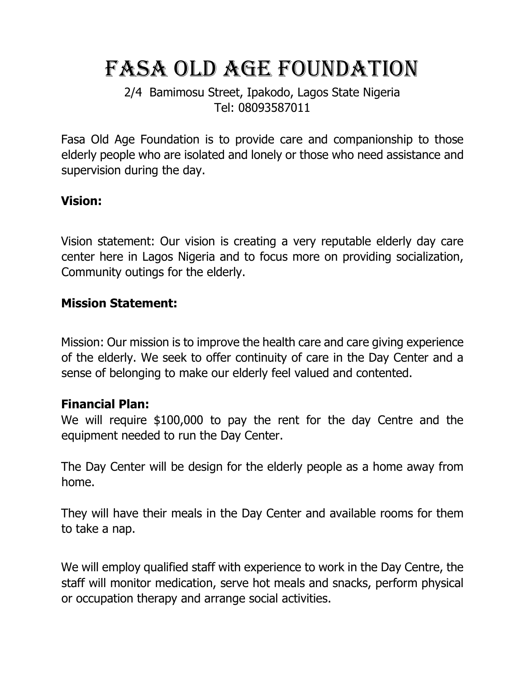# FASA OLD AGE FOUNDATION

2/4 Bamimosu Street, Ipakodo, Lagos State Nigeria Tel: 08093587011

Fasa Old Age Foundation is to provide care and companionship to those elderly people who are isolated and lonely or those who need assistance and supervision during the day.

#### **Vision:**

Vision statement: Our vision is creating a very reputable elderly day care center here in Lagos Nigeria and to focus more on providing socialization, Community outings for the elderly.

#### **Mission Statement:**

Mission: Our mission is to improve the health care and care giving experience of the elderly. We seek to offer continuity of care in the Day Center and a sense of belonging to make our elderly feel valued and contented.

#### **Financial Plan:**

We will require \$100,000 to pay the rent for the day Centre and the equipment needed to run the Day Center.

The Day Center will be design for the elderly people as a home away from home.

They will have their meals in the Day Center and available rooms for them to take a nap.

We will employ qualified staff with experience to work in the Day Centre, the staff will monitor medication, serve hot meals and snacks, perform physical or occupation therapy and arrange social activities.